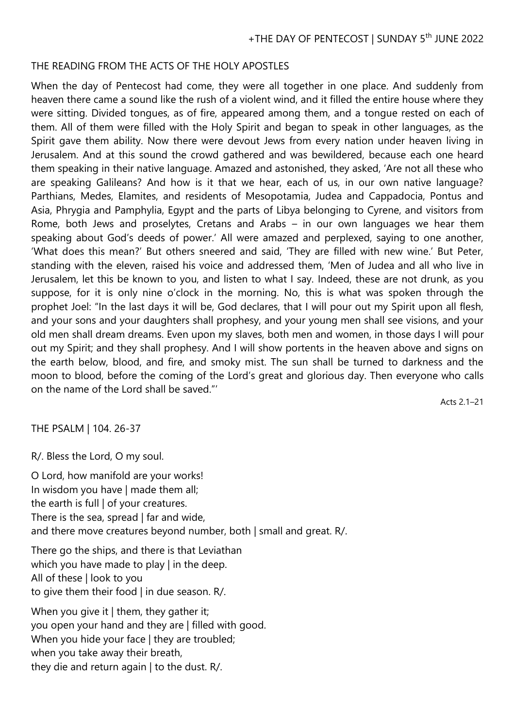## THE READING FROM THE ACTS OF THE HOLY APOSTLES

When the day of Pentecost had come, they were all together in one place. And suddenly from heaven there came a sound like the rush of a violent wind, and it filled the entire house where they were sitting. Divided tongues, as of fire, appeared among them, and a tongue rested on each of them. All of them were filled with the Holy Spirit and began to speak in other languages, as the Spirit gave them ability. Now there were devout Jews from every nation under heaven living in Jerusalem. And at this sound the crowd gathered and was bewildered, because each one heard them speaking in their native language. Amazed and astonished, they asked, 'Are not all these who are speaking Galileans? And how is it that we hear, each of us, in our own native language? Parthians, Medes, Elamites, and residents of Mesopotamia, Judea and Cappadocia, Pontus and Asia, Phrygia and Pamphylia, Egypt and the parts of Libya belonging to Cyrene, and visitors from Rome, both Jews and proselytes, Cretans and Arabs – in our own languages we hear them speaking about God's deeds of power.' All were amazed and perplexed, saying to one another, 'What does this mean?' But others sneered and said, 'They are filled with new wine.' But Peter, standing with the eleven, raised his voice and addressed them, 'Men of Judea and all who live in Jerusalem, let this be known to you, and listen to what I say. Indeed, these are not drunk, as you suppose, for it is only nine o'clock in the morning. No, this is what was spoken through the prophet Joel: "In the last days it will be, God declares, that I will pour out my Spirit upon all flesh, and your sons and your daughters shall prophesy, and your young men shall see visions, and your old men shall dream dreams. Even upon my slaves, both men and women, in those days I will pour out my Spirit; and they shall prophesy. And I will show portents in the heaven above and signs on the earth below, blood, and fire, and smoky mist. The sun shall be turned to darkness and the moon to blood, before the coming of the Lord's great and glorious day. Then everyone who calls on the name of the Lord shall be saved."'

Acts 2.1–21

THE PSALM | 104. 26-37

R/. Bless the Lord, O my soul.

O Lord, how manifold are your works! In wisdom you have | made them all; the earth is full | of your creatures. There is the sea, spread | far and wide, and there move creatures beyond number, both | small and great. R/.

There go the ships, and there is that Leviathan which you have made to play | in the deep. All of these | look to you to give them their food | in due season. R/.

When you give it | them, they gather it; you open your hand and they are | filled with good. When you hide your face | they are troubled; when you take away their breath, they die and return again | to the dust. R/.